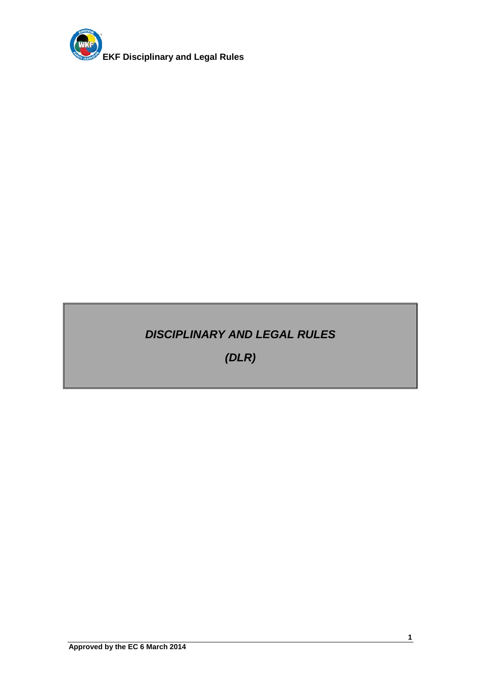

# *DISCIPLINARY AND LEGAL RULES*

*(DLR)*

**1**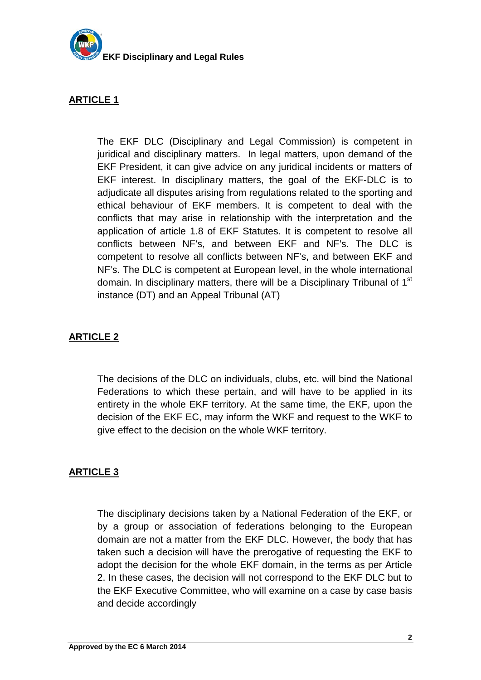

The EKF DLC (Disciplinary and Legal Commission) is competent in juridical and disciplinary matters. In legal matters, upon demand of the EKF President, it can give advice on any juridical incidents or matters of EKF interest. In disciplinary matters, the goal of the EKF-DLC is to adjudicate all disputes arising from regulations related to the sporting and ethical behaviour of EKF members. It is competent to deal with the conflicts that may arise in relationship with the interpretation and the application of article 1.8 of EKF Statutes. It is competent to resolve all conflicts between NF's, and between EKF and NF's. The DLC is competent to resolve all conflicts between NF's, and between EKF and NF's. The DLC is competent at European level, in the whole international domain. In disciplinary matters, there will be a Disciplinary Tribunal of 1<sup>st</sup> instance (DT) and an Appeal Tribunal (AT)

## **ARTICLE 2**

The decisions of the DLC on individuals, clubs, etc. will bind the National Federations to which these pertain, and will have to be applied in its entirety in the whole EKF territory. At the same time, the EKF, upon the decision of the EKF EC, may inform the WKF and request to the WKF to give effect to the decision on the whole WKF territory.

# **ARTICLE 3**

The disciplinary decisions taken by a National Federation of the EKF, or by a group or association of federations belonging to the European domain are not a matter from the EKF DLC. However, the body that has taken such a decision will have the prerogative of requesting the EKF to adopt the decision for the whole EKF domain, in the terms as per Article 2. In these cases, the decision will not correspond to the EKF DLC but to the EKF Executive Committee, who will examine on a case by case basis and decide accordingly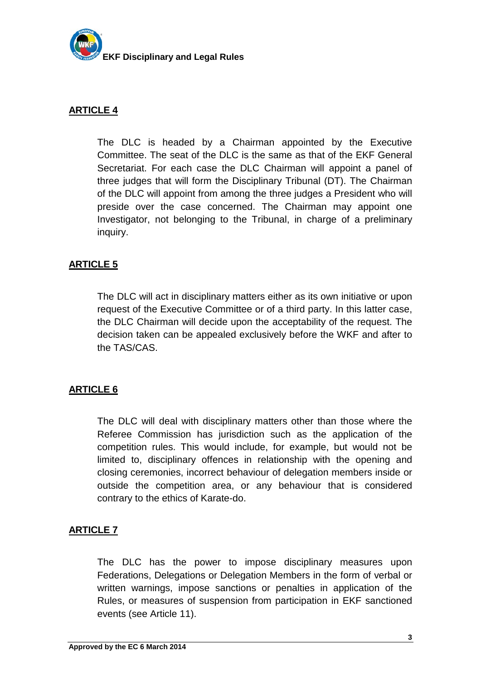

The DLC is headed by a Chairman appointed by the Executive Committee. The seat of the DLC is the same as that of the EKF General Secretariat. For each case the DLC Chairman will appoint a panel of three judges that will form the Disciplinary Tribunal (DT). The Chairman of the DLC will appoint from among the three judges a President who will preside over the case concerned. The Chairman may appoint one Investigator, not belonging to the Tribunal, in charge of a preliminary inquiry.

#### **ARTICLE 5**

The DLC will act in disciplinary matters either as its own initiative or upon request of the Executive Committee or of a third party. In this latter case, the DLC Chairman will decide upon the acceptability of the request. The decision taken can be appealed exclusively before the WKF and after to the TAS/CAS.

#### **ARTICLE 6**

The DLC will deal with disciplinary matters other than those where the Referee Commission has jurisdiction such as the application of the competition rules. This would include, for example, but would not be limited to, disciplinary offences in relationship with the opening and closing ceremonies, incorrect behaviour of delegation members inside or outside the competition area, or any behaviour that is considered contrary to the ethics of Karate-do.

#### **ARTICLE 7**

The DLC has the power to impose disciplinary measures upon Federations, Delegations or Delegation Members in the form of verbal or written warnings, impose sanctions or penalties in application of the Rules, or measures of suspension from participation in EKF sanctioned events (see Article 11).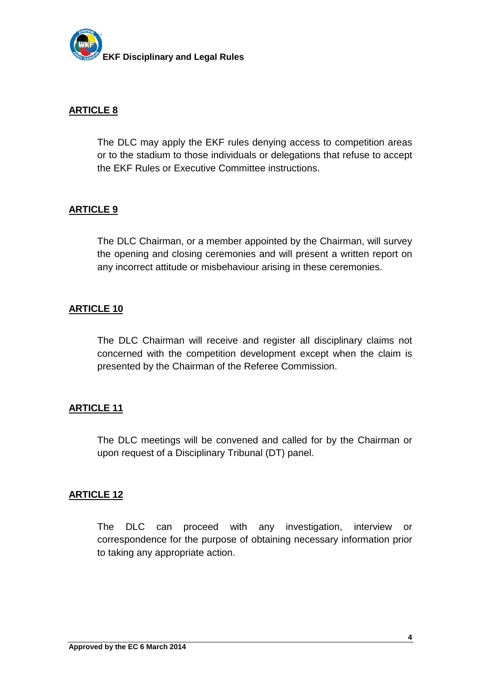

The DLC may apply the EKF rules denying access to competition areas or to the stadium to those individuals or delegations that refuse to accept the EKF Rules or Executive Committee instructions.

#### **ARTICLE 9**

The DLC Chairman, or a member appointed by the Chairman, will survey the opening and closing ceremonies and will present a written report on any incorrect attitude or misbehaviour arising in these ceremonies.

## **ARTICLE 10**

The DLC Chairman will receive and register all disciplinary claims not concerned with the competition development except when the claim is presented by the Chairman of the Referee Commission.

#### **ARTICLE 11**

The DLC meetings will be convened and called for by the Chairman or upon request of a Disciplinary Tribunal (DT) panel.

#### **ARTICLE 12**

The DLC can proceed with any investigation, interview or correspondence for the purpose of obtaining necessary information prior to taking any appropriate action.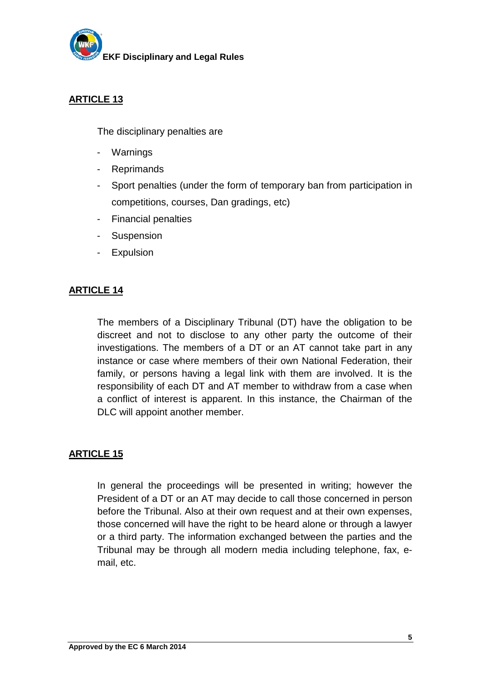

The disciplinary penalties are

- Warnings
- Reprimands
- Sport penalties (under the form of temporary ban from participation in competitions, courses, Dan gradings, etc)
- Financial penalties
- Suspension
- Expulsion

## **ARTICLE 14**

The members of a Disciplinary Tribunal (DT) have the obligation to be discreet and not to disclose to any other party the outcome of their investigations. The members of a DT or an AT cannot take part in any instance or case where members of their own National Federation, their family, or persons having a legal link with them are involved. It is the responsibility of each DT and AT member to withdraw from a case when a conflict of interest is apparent. In this instance, the Chairman of the DLC will appoint another member.

#### **ARTICLE 15**

In general the proceedings will be presented in writing; however the President of a DT or an AT may decide to call those concerned in person before the Tribunal. Also at their own request and at their own expenses, those concerned will have the right to be heard alone or through a lawyer or a third party. The information exchanged between the parties and the Tribunal may be through all modern media including telephone, fax, email, etc.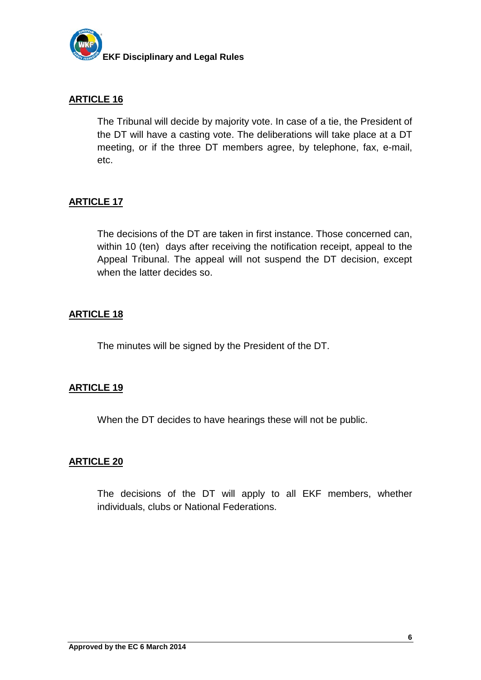

The Tribunal will decide by majority vote. In case of a tie, the President of the DT will have a casting vote. The deliberations will take place at a DT meeting, or if the three DT members agree, by telephone, fax, e-mail, etc.

## **ARTICLE 17**

The decisions of the DT are taken in first instance. Those concerned can, within 10 (ten) days after receiving the notification receipt, appeal to the Appeal Tribunal. The appeal will not suspend the DT decision, except when the latter decides so.

#### **ARTICLE 18**

The minutes will be signed by the President of the DT.

#### **ARTICLE 19**

When the DT decides to have hearings these will not be public.

#### **ARTICLE 20**

The decisions of the DT will apply to all EKF members, whether individuals, clubs or National Federations.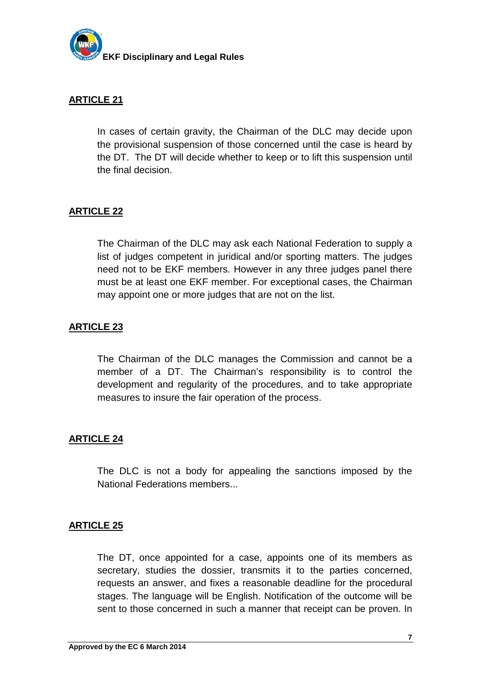

In cases of certain gravity, the Chairman of the DLC may decide upon the provisional suspension of those concerned until the case is heard by the DT. The DT will decide whether to keep or to lift this suspension until the final decision.

# **ARTICLE 22**

The Chairman of the DLC may ask each National Federation to supply a list of judges competent in juridical and/or sporting matters. The judges need not to be EKF members. However in any three judges panel there must be at least one EKF member. For exceptional cases, the Chairman may appoint one or more judges that are not on the list.

#### **ARTICLE 23**

The Chairman of the DLC manages the Commission and cannot be a member of a DT. The Chairman's responsibility is to control the development and regularity of the procedures, and to take appropriate measures to insure the fair operation of the process.

#### **ARTICLE 24**

The DLC is not a body for appealing the sanctions imposed by the National Federations members...

#### **ARTICLE 25**

The DT, once appointed for a case, appoints one of its members as secretary, studies the dossier, transmits it to the parties concerned, requests an answer, and fixes a reasonable deadline for the procedural stages. The language will be English. Notification of the outcome will be sent to those concerned in such a manner that receipt can be proven. In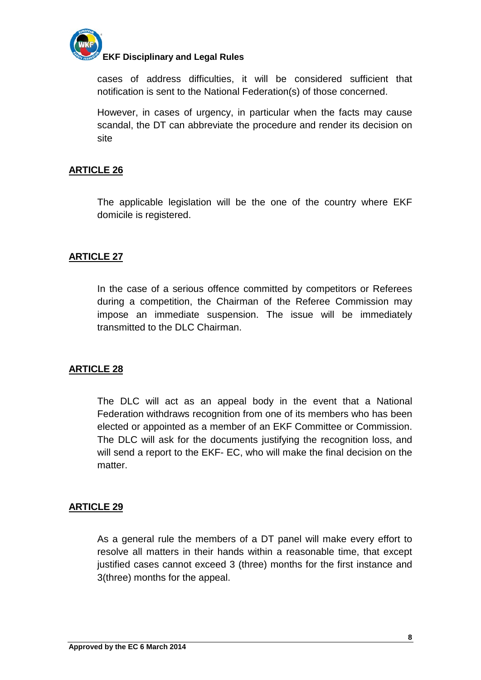

## **EKF Disciplinary and Legal Rules**

cases of address difficulties, it will be considered sufficient that notification is sent to the National Federation(s) of those concerned.

However, in cases of urgency, in particular when the facts may cause scandal, the DT can abbreviate the procedure and render its decision on site

# **ARTICLE 26**

The applicable legislation will be the one of the country where EKF domicile is registered.

## **ARTICLE 27**

In the case of a serious offence committed by competitors or Referees during a competition, the Chairman of the Referee Commission may impose an immediate suspension. The issue will be immediately transmitted to the DLC Chairman.

#### **ARTICLE 28**

The DLC will act as an appeal body in the event that a National Federation withdraws recognition from one of its members who has been elected or appointed as a member of an EKF Committee or Commission. The DLC will ask for the documents justifying the recognition loss, and will send a report to the EKF- EC, who will make the final decision on the matter.

#### **ARTICLE 29**

As a general rule the members of a DT panel will make every effort to resolve all matters in their hands within a reasonable time, that except justified cases cannot exceed 3 (three) months for the first instance and 3(three) months for the appeal.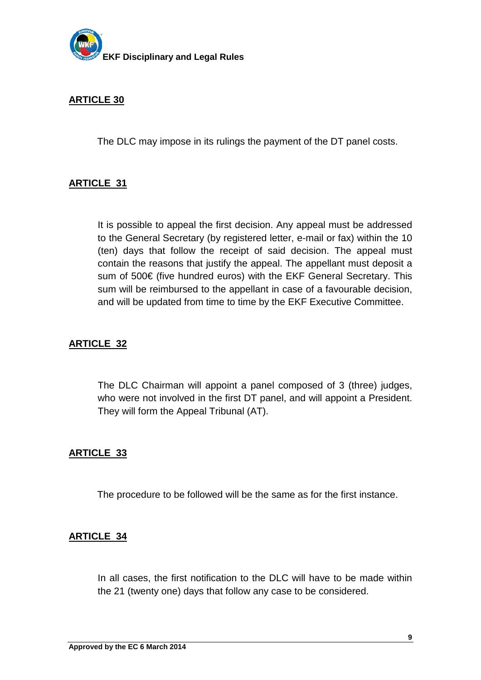

The DLC may impose in its rulings the payment of the DT panel costs.

#### **ARTICLE 31**

It is possible to appeal the first decision. Any appeal must be addressed to the General Secretary (by registered letter, e-mail or fax) within the 10 (ten) days that follow the receipt of said decision. The appeal must contain the reasons that justify the appeal. The appellant must deposit a sum of 500€ (five hundred euros) with the EKF General Secretary. This sum will be reimbursed to the appellant in case of a favourable decision, and will be updated from time to time by the EKF Executive Committee.

#### **ARTICLE 32**

The DLC Chairman will appoint a panel composed of 3 (three) judges, who were not involved in the first DT panel, and will appoint a President. They will form the Appeal Tribunal (AT).

#### **ARTICLE 33**

The procedure to be followed will be the same as for the first instance.

#### **ARTICLE 34**

In all cases, the first notification to the DLC will have to be made within the 21 (twenty one) days that follow any case to be considered.